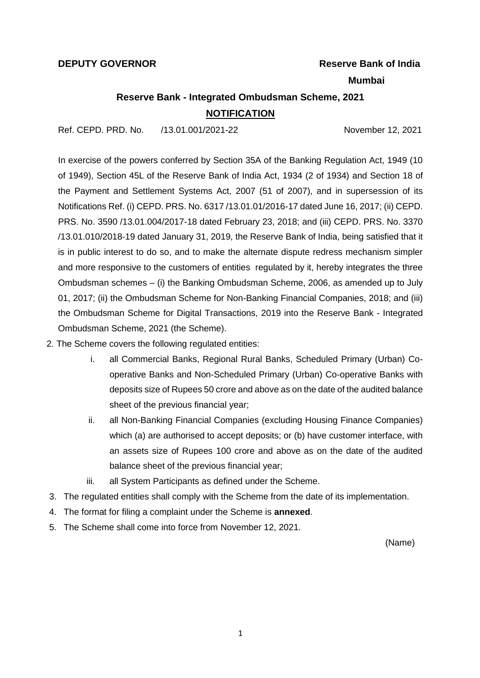#### **DEPUTY GOVERNOR THE SEXUAL SEXUAL SEXUAL SEXUAL SEXUAL SEXUAL SEXUAL SEXUAL SEXUAL SEXUAL SEXUAL SEXUAL SEXUAL**

#### **Mumbai**

# **Reserve Bank - Integrated Ombudsman Scheme, 2021 NOTIFICATION**

Ref. CEPD. PRD. No. /13.01.001/2021-22 November 12, 2021

In exercise of the powers conferred by Section 35A of the Banking Regulation Act, 1949 (10 of 1949), Section 45L of the Reserve Bank of India Act, 1934 (2 of 1934) and Section 18 of the Payment and Settlement Systems Act, 2007 (51 of 2007), and in supersession of its Notifications Ref. (i) CEPD. PRS. No. 6317 /13.01.01/2016-17 dated June 16, 2017; (ii) CEPD. PRS. No. 3590 /13.01.004/2017-18 dated February 23, 2018; and (iii) CEPD. PRS. No. 3370 /13.01.010/2018-19 dated January 31, 2019, the Reserve Bank of India, being satisfied that it is in public interest to do so, and to make the alternate dispute redress mechanism simpler and more responsive to the customers of entities regulated by it, hereby integrates the three Ombudsman schemes – (i) the Banking Ombudsman Scheme, 2006, as amended up to July 01, 2017; (ii) the Ombudsman Scheme for Non-Banking Financial Companies, 2018; and (iii) the Ombudsman Scheme for Digital Transactions, 2019 into the Reserve Bank - Integrated Ombudsman Scheme, 2021 (the Scheme).

- 2. The Scheme covers the following regulated entities:
	- i. all Commercial Banks, Regional Rural Banks, Scheduled Primary (Urban) Cooperative Banks and Non-Scheduled Primary (Urban) Co-operative Banks with deposits size of Rupees 50 crore and above as on the date of the audited balance sheet of the previous financial year;
	- ii. all Non-Banking Financial Companies (excluding Housing Finance Companies) which (a) are authorised to accept deposits; or (b) have customer interface, with an assets size of Rupees 100 crore and above as on the date of the audited balance sheet of the previous financial year;
	- iii. all System Participants as defined under the Scheme.
- 3. The regulated entities shall comply with the Scheme from the date of its implementation.
- 4. The format for filing a complaint under the Scheme is **annexed**.
- 5. The Scheme shall come into force from November 12, 2021.

(Name)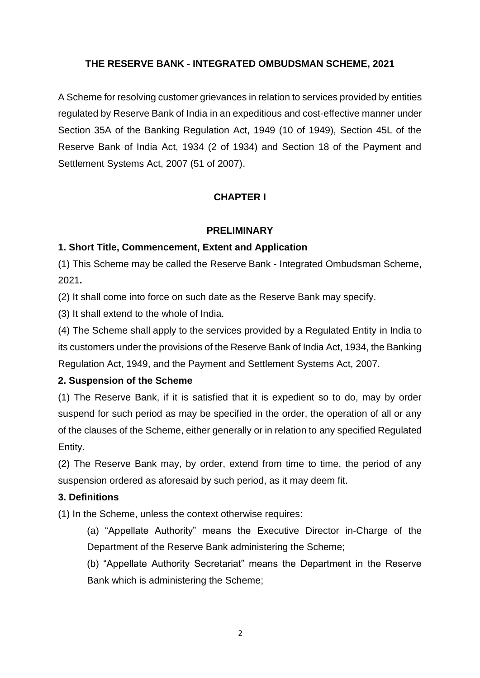# **THE RESERVE BANK - INTEGRATED OMBUDSMAN SCHEME, 2021**

A Scheme for resolving customer grievances in relation to services provided by entities regulated by Reserve Bank of India in an expeditious and cost-effective manner under Section 35A of the Banking Regulation Act, 1949 (10 of 1949), Section 45L of the Reserve Bank of India Act, 1934 (2 of 1934) and Section 18 of the Payment and Settlement Systems Act, 2007 (51 of 2007).

# **CHAPTER I**

### **PRELIMINARY**

# **1. Short Title, Commencement, Extent and Application**

(1) This Scheme may be called the Reserve Bank - Integrated Ombudsman Scheme, 2021**.**

(2) It shall come into force on such date as the Reserve Bank may specify.

(3) It shall extend to the whole of India.

(4) The Scheme shall apply to the services provided by a Regulated Entity in India to its customers under the provisions of the Reserve Bank of India Act, 1934, the Banking Regulation Act, 1949, and the Payment and Settlement Systems Act, 2007.

# **2. Suspension of the Scheme**

(1) The Reserve Bank, if it is satisfied that it is expedient so to do, may by order suspend for such period as may be specified in the order, the operation of all or any of the clauses of the Scheme, either generally or in relation to any specified Regulated Entity.

(2) The Reserve Bank may, by order, extend from time to time, the period of any suspension ordered as aforesaid by such period, as it may deem fit.

# **3. Definitions**

(1) In the Scheme, unless the context otherwise requires:

(a) "Appellate Authority" means the Executive Director in-Charge of the Department of the Reserve Bank administering the Scheme;

(b) "Appellate Authority Secretariat" means the Department in the Reserve Bank which is administering the Scheme;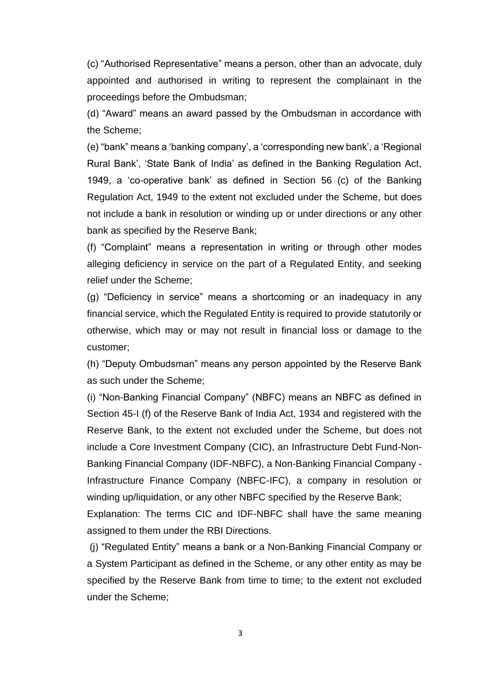(c) "Authorised Representative" means a person, other than an advocate, duly appointed and authorised in writing to represent the complainant in the proceedings before the Ombudsman;

(d) "Award" means an award passed by the Ombudsman in accordance with the Scheme;

(e) "bank" means a 'banking company', a 'corresponding new bank', a 'Regional Rural Bank', 'State Bank of India' as defined in the Banking Regulation Act, 1949, a 'co-operative bank' as defined in Section 56 (c) of the Banking Regulation Act, 1949 to the extent not excluded under the Scheme, but does not include a bank in resolution or winding up or under directions or any other bank as specified by the Reserve Bank;

(f) "Complaint" means a representation in writing or through other modes alleging deficiency in service on the part of a Regulated Entity, and seeking relief under the Scheme;

(g) "Deficiency in service" means a shortcoming or an inadequacy in any financial service, which the Regulated Entity is required to provide statutorily or otherwise, which may or may not result in financial loss or damage to the customer;

(h) "Deputy Ombudsman" means any person appointed by the Reserve Bank as such under the Scheme;

(i) "Non-Banking Financial Company" (NBFC) means an NBFC as defined in Section 45-I (f) of the Reserve Bank of India Act, 1934 and registered with the Reserve Bank, to the extent not excluded under the Scheme, but does not include a Core Investment Company (CIC), an Infrastructure Debt Fund-Non-Banking Financial Company (IDF-NBFC), a Non-Banking Financial Company - Infrastructure Finance Company (NBFC-IFC), a company in resolution or winding up/liquidation, or any other NBFC specified by the Reserve Bank;

Explanation: The terms CIC and IDF-NBFC shall have the same meaning assigned to them under the RBI Directions.

(j) "Regulated Entity" means a bank or a Non-Banking Financial Company or a System Participant as defined in the Scheme, or any other entity as may be specified by the Reserve Bank from time to time; to the extent not excluded under the Scheme;

3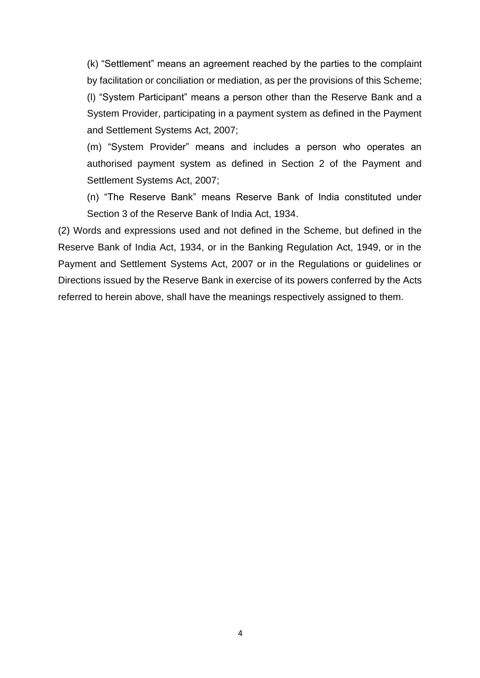(k) "Settlement" means an agreement reached by the parties to the complaint by facilitation or conciliation or mediation, as per the provisions of this Scheme; (l) "System Participant" means a person other than the Reserve Bank and a System Provider, participating in a payment system as defined in the Payment and Settlement Systems Act, 2007;

(m) "System Provider" means and includes a person who operates an authorised payment system as defined in Section 2 of the Payment and Settlement Systems Act, 2007;

(n) "The Reserve Bank" means Reserve Bank of India constituted under Section 3 of the Reserve Bank of India Act, 1934.

(2) Words and expressions used and not defined in the Scheme, but defined in the Reserve Bank of India Act, 1934, or in the Banking Regulation Act, 1949, or in the Payment and Settlement Systems Act, 2007 or in the Regulations or guidelines or Directions issued by the Reserve Bank in exercise of its powers conferred by the Acts referred to herein above, shall have the meanings respectively assigned to them.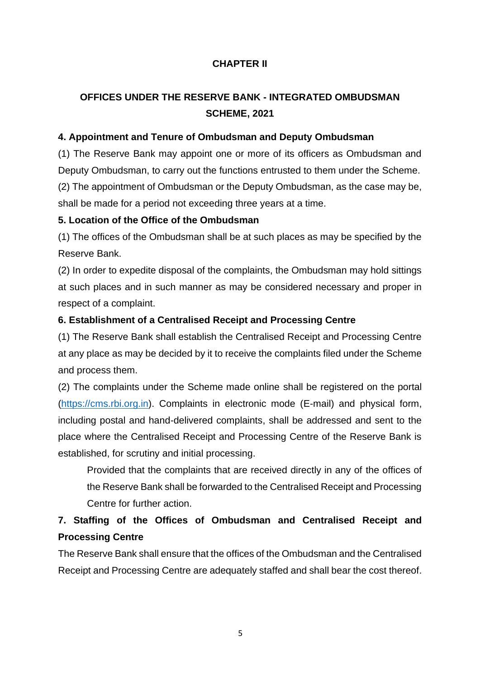# **CHAPTER II**

# **OFFICES UNDER THE RESERVE BANK - INTEGRATED OMBUDSMAN SCHEME, 2021**

### **4. Appointment and Tenure of Ombudsman and Deputy Ombudsman**

(1) The Reserve Bank may appoint one or more of its officers as Ombudsman and Deputy Ombudsman, to carry out the functions entrusted to them under the Scheme. (2) The appointment of Ombudsman or the Deputy Ombudsman, as the case may be, shall be made for a period not exceeding three years at a time.

#### **5. Location of the Office of the Ombudsman**

(1) The offices of the Ombudsman shall be at such places as may be specified by the Reserve Bank.

(2) In order to expedite disposal of the complaints, the Ombudsman may hold sittings at such places and in such manner as may be considered necessary and proper in respect of a complaint.

### **6. Establishment of a Centralised Receipt and Processing Centre**

(1) The Reserve Bank shall establish the Centralised Receipt and Processing Centre at any place as may be decided by it to receive the complaints filed under the Scheme and process them.

(2) The complaints under the Scheme made online shall be registered on the portal [\(https://cms.rbi.org.in\)](https://cms.rbi.org.in/). Complaints in electronic mode (E-mail) and physical form, including postal and hand-delivered complaints, shall be addressed and sent to the place where the Centralised Receipt and Processing Centre of the Reserve Bank is established, for scrutiny and initial processing.

Provided that the complaints that are received directly in any of the offices of the Reserve Bank shall be forwarded to the Centralised Receipt and Processing Centre for further action.

# **7. Staffing of the Offices of Ombudsman and Centralised Receipt and Processing Centre**

The Reserve Bank shall ensure that the offices of the Ombudsman and the Centralised Receipt and Processing Centre are adequately staffed and shall bear the cost thereof.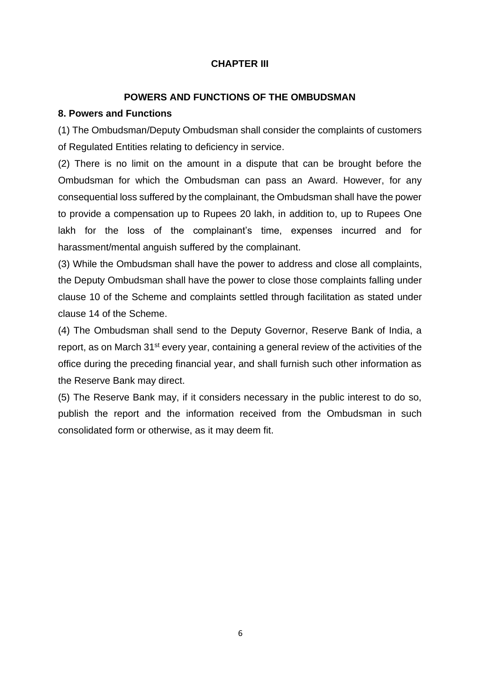# **CHAPTER III**

# **POWERS AND FUNCTIONS OF THE OMBUDSMAN**

## **8. Powers and Functions**

(1) The Ombudsman/Deputy Ombudsman shall consider the complaints of customers of Regulated Entities relating to deficiency in service.

(2) There is no limit on the amount in a dispute that can be brought before the Ombudsman for which the Ombudsman can pass an Award. However, for any consequential loss suffered by the complainant, the Ombudsman shall have the power to provide a compensation up to Rupees 20 lakh, in addition to, up to Rupees One lakh for the loss of the complainant's time, expenses incurred and for harassment/mental anguish suffered by the complainant.

(3) While the Ombudsman shall have the power to address and close all complaints, the Deputy Ombudsman shall have the power to close those complaints falling under clause 10 of the Scheme and complaints settled through facilitation as stated under clause 14 of the Scheme.

(4) The Ombudsman shall send to the Deputy Governor, Reserve Bank of India, a report, as on March 31<sup>st</sup> every year, containing a general review of the activities of the office during the preceding financial year, and shall furnish such other information as the Reserve Bank may direct.

(5) The Reserve Bank may, if it considers necessary in the public interest to do so, publish the report and the information received from the Ombudsman in such consolidated form or otherwise, as it may deem fit.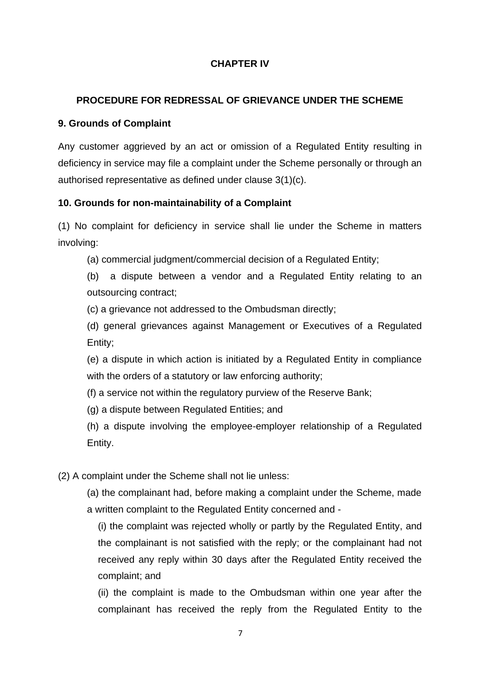# **CHAPTER IV**

# **PROCEDURE FOR REDRESSAL OF GRIEVANCE UNDER THE SCHEME**

### **9. Grounds of Complaint**

Any customer aggrieved by an act or omission of a Regulated Entity resulting in deficiency in service may file a complaint under the Scheme personally or through an authorised representative as defined under clause 3(1)(c).

### **10. Grounds for non-maintainability of a Complaint**

(1) No complaint for deficiency in service shall lie under the Scheme in matters involving:

(a) commercial judgment/commercial decision of a Regulated Entity;

(b) a dispute between a vendor and a Regulated Entity relating to an outsourcing contract;

(c) a grievance not addressed to the Ombudsman directly;

(d) general grievances against Management or Executives of a Regulated Entity;

(e) a dispute in which action is initiated by a Regulated Entity in compliance with the orders of a statutory or law enforcing authority;

(f) a service not within the regulatory purview of the Reserve Bank;

(g) a dispute between Regulated Entities; and

(h) a dispute involving the employee-employer relationship of a Regulated Entity.

(2) A complaint under the Scheme shall not lie unless:

(a) the complainant had, before making a complaint under the Scheme, made a written complaint to the Regulated Entity concerned and -

(i) the complaint was rejected wholly or partly by the Regulated Entity, and the complainant is not satisfied with the reply; or the complainant had not received any reply within 30 days after the Regulated Entity received the complaint; and

(ii) the complaint is made to the Ombudsman within one year after the complainant has received the reply from the Regulated Entity to the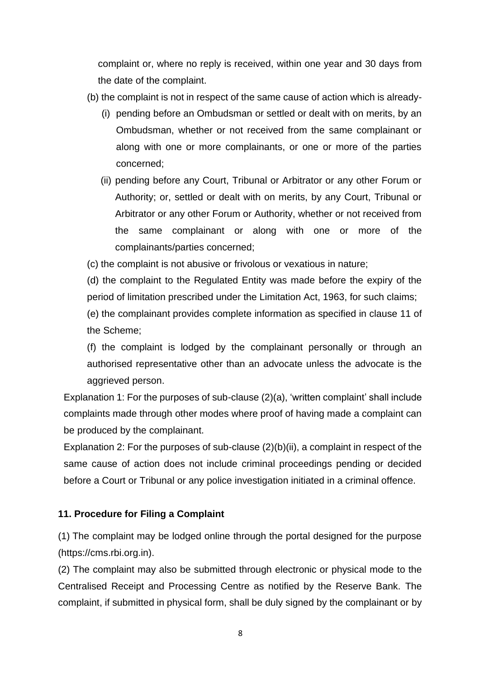complaint or, where no reply is received, within one year and 30 days from the date of the complaint.

- (b) the complaint is not in respect of the same cause of action which is already-
	- (i) pending before an Ombudsman or settled or dealt with on merits, by an Ombudsman, whether or not received from the same complainant or along with one or more complainants, or one or more of the parties concerned;
	- (ii) pending before any Court, Tribunal or Arbitrator or any other Forum or Authority; or, settled or dealt with on merits, by any Court, Tribunal or Arbitrator or any other Forum or Authority, whether or not received from the same complainant or along with one or more of the complainants/parties concerned;

(c) the complaint is not abusive or frivolous or vexatious in nature;

(d) the complaint to the Regulated Entity was made before the expiry of the period of limitation prescribed under the Limitation Act, 1963, for such claims;

(e) the complainant provides complete information as specified in clause 11 of the Scheme;

(f) the complaint is lodged by the complainant personally or through an authorised representative other than an advocate unless the advocate is the aggrieved person.

Explanation 1: For the purposes of sub-clause (2)(a), 'written complaint' shall include complaints made through other modes where proof of having made a complaint can be produced by the complainant.

Explanation 2: For the purposes of sub-clause (2)(b)(ii), a complaint in respect of the same cause of action does not include criminal proceedings pending or decided before a Court or Tribunal or any police investigation initiated in a criminal offence.

# **11. Procedure for Filing a Complaint**

(1) The complaint may be lodged online through the portal designed for the purpose (https://cms.rbi.org.in).

(2) The complaint may also be submitted through electronic or physical mode to the Centralised Receipt and Processing Centre as notified by the Reserve Bank. The complaint, if submitted in physical form, shall be duly signed by the complainant or by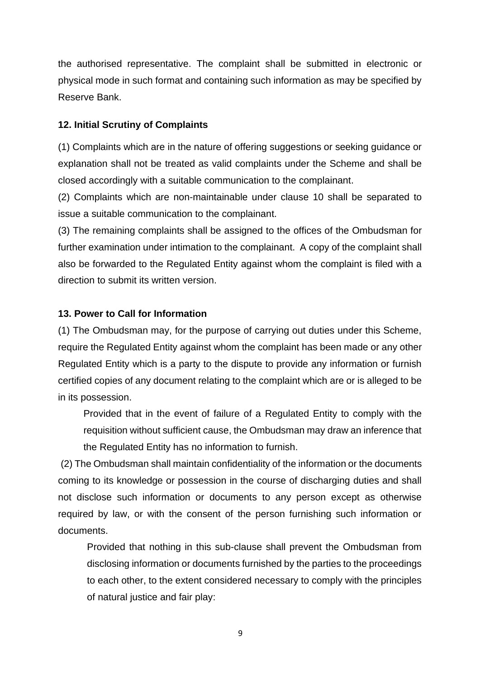the authorised representative. The complaint shall be submitted in electronic or physical mode in such format and containing such information as may be specified by Reserve Bank.

#### **12. Initial Scrutiny of Complaints**

(1) Complaints which are in the nature of offering suggestions or seeking guidance or explanation shall not be treated as valid complaints under the Scheme and shall be closed accordingly with a suitable communication to the complainant.

(2) Complaints which are non-maintainable under clause 10 shall be separated to issue a suitable communication to the complainant.

(3) The remaining complaints shall be assigned to the offices of the Ombudsman for further examination under intimation to the complainant. A copy of the complaint shall also be forwarded to the Regulated Entity against whom the complaint is filed with a direction to submit its written version.

#### **13. Power to Call for Information**

(1) The Ombudsman may, for the purpose of carrying out duties under this Scheme, require the Regulated Entity against whom the complaint has been made or any other Regulated Entity which is a party to the dispute to provide any information or furnish certified copies of any document relating to the complaint which are or is alleged to be in its possession.

Provided that in the event of failure of a Regulated Entity to comply with the requisition without sufficient cause, the Ombudsman may draw an inference that the Regulated Entity has no information to furnish.

(2) The Ombudsman shall maintain confidentiality of the information or the documents coming to its knowledge or possession in the course of discharging duties and shall not disclose such information or documents to any person except as otherwise required by law, or with the consent of the person furnishing such information or documents.

Provided that nothing in this sub-clause shall prevent the Ombudsman from disclosing information or documents furnished by the parties to the proceedings to each other, to the extent considered necessary to comply with the principles of natural justice and fair play: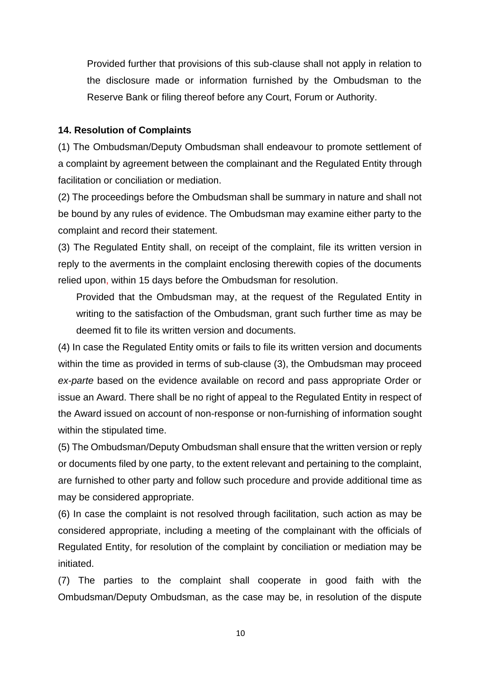Provided further that provisions of this sub-clause shall not apply in relation to the disclosure made or information furnished by the Ombudsman to the Reserve Bank or filing thereof before any Court, Forum or Authority.

#### **14. Resolution of Complaints**

(1) The Ombudsman/Deputy Ombudsman shall endeavour to promote settlement of a complaint by agreement between the complainant and the Regulated Entity through facilitation or conciliation or mediation.

(2) The proceedings before the Ombudsman shall be summary in nature and shall not be bound by any rules of evidence. The Ombudsman may examine either party to the complaint and record their statement.

(3) The Regulated Entity shall, on receipt of the complaint, file its written version in reply to the averments in the complaint enclosing therewith copies of the documents relied upon, within 15 days before the Ombudsman for resolution.

Provided that the Ombudsman may, at the request of the Regulated Entity in writing to the satisfaction of the Ombudsman, grant such further time as may be deemed fit to file its written version and documents.

(4) In case the Regulated Entity omits or fails to file its written version and documents within the time as provided in terms of sub-clause (3), the Ombudsman may proceed *ex-parte* based on the evidence available on record and pass appropriate Order or issue an Award. There shall be no right of appeal to the Regulated Entity in respect of the Award issued on account of non-response or non-furnishing of information sought within the stipulated time.

(5) The Ombudsman/Deputy Ombudsman shall ensure that the written version or reply or documents filed by one party, to the extent relevant and pertaining to the complaint, are furnished to other party and follow such procedure and provide additional time as may be considered appropriate.

(6) In case the complaint is not resolved through facilitation, such action as may be considered appropriate, including a meeting of the complainant with the officials of Regulated Entity, for resolution of the complaint by conciliation or mediation may be initiated.

(7) The parties to the complaint shall cooperate in good faith with the Ombudsman/Deputy Ombudsman, as the case may be, in resolution of the dispute

10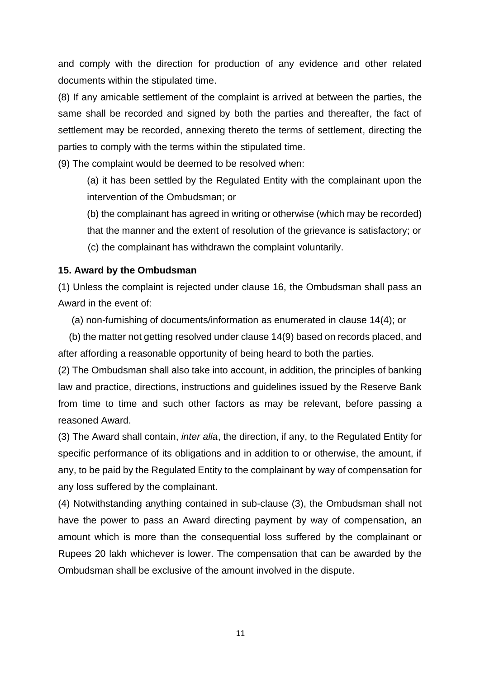and comply with the direction for production of any evidence and other related documents within the stipulated time.

(8) If any amicable settlement of the complaint is arrived at between the parties, the same shall be recorded and signed by both the parties and thereafter, the fact of settlement may be recorded, annexing thereto the terms of settlement, directing the parties to comply with the terms within the stipulated time.

(9) The complaint would be deemed to be resolved when:

(a) it has been settled by the Regulated Entity with the complainant upon the intervention of the Ombudsman; or

(b) the complainant has agreed in writing or otherwise (which may be recorded) that the manner and the extent of resolution of the grievance is satisfactory; or (c) the complainant has withdrawn the complaint voluntarily.

### **15. Award by the Ombudsman**

(1) Unless the complaint is rejected under clause 16, the Ombudsman shall pass an Award in the event of:

(a) non-furnishing of documents/information as enumerated in clause 14(4); or

 (b) the matter not getting resolved under clause 14(9) based on records placed, and after affording a reasonable opportunity of being heard to both the parties.

(2) The Ombudsman shall also take into account, in addition, the principles of banking law and practice, directions, instructions and guidelines issued by the Reserve Bank from time to time and such other factors as may be relevant, before passing a reasoned Award.

(3) The Award shall contain, *inter alia*, the direction, if any, to the Regulated Entity for specific performance of its obligations and in addition to or otherwise, the amount, if any, to be paid by the Regulated Entity to the complainant by way of compensation for any loss suffered by the complainant.

(4) Notwithstanding anything contained in sub-clause (3), the Ombudsman shall not have the power to pass an Award directing payment by way of compensation, an amount which is more than the consequential loss suffered by the complainant or Rupees 20 lakh whichever is lower. The compensation that can be awarded by the Ombudsman shall be exclusive of the amount involved in the dispute.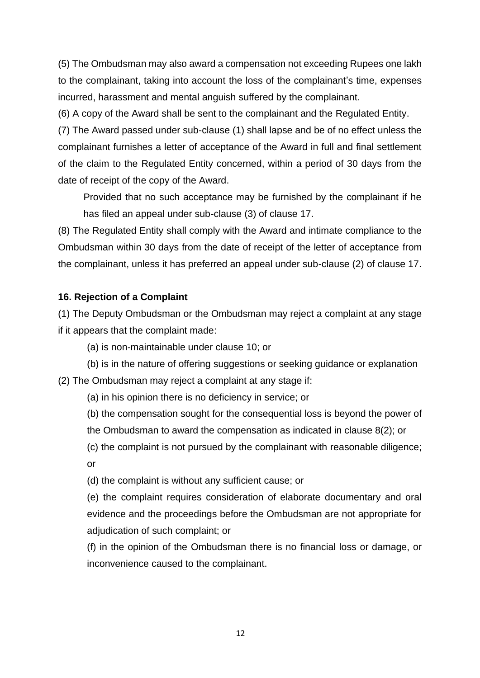(5) The Ombudsman may also award a compensation not exceeding Rupees one lakh to the complainant, taking into account the loss of the complainant's time, expenses incurred, harassment and mental anguish suffered by the complainant.

(6) A copy of the Award shall be sent to the complainant and the Regulated Entity.

(7) The Award passed under sub-clause (1) shall lapse and be of no effect unless the complainant furnishes a letter of acceptance of the Award in full and final settlement of the claim to the Regulated Entity concerned, within a period of 30 days from the date of receipt of the copy of the Award.

Provided that no such acceptance may be furnished by the complainant if he has filed an appeal under sub-clause (3) of clause 17.

(8) The Regulated Entity shall comply with the Award and intimate compliance to the Ombudsman within 30 days from the date of receipt of the letter of acceptance from the complainant, unless it has preferred an appeal under sub-clause (2) of clause 17.

### **16. Rejection of a Complaint**

(1) The Deputy Ombudsman or the Ombudsman may reject a complaint at any stage if it appears that the complaint made:

- (a) is non-maintainable under clause 10; or
- (b) is in the nature of offering suggestions or seeking guidance or explanation

(2) The Ombudsman may reject a complaint at any stage if:

- (a) in his opinion there is no deficiency in service; or
- (b) the compensation sought for the consequential loss is beyond the power of the Ombudsman to award the compensation as indicated in clause 8(2); or
- (c) the complaint is not pursued by the complainant with reasonable diligence; or

(d) the complaint is without any sufficient cause; or

(e) the complaint requires consideration of elaborate documentary and oral evidence and the proceedings before the Ombudsman are not appropriate for adjudication of such complaint; or

(f) in the opinion of the Ombudsman there is no financial loss or damage, or inconvenience caused to the complainant.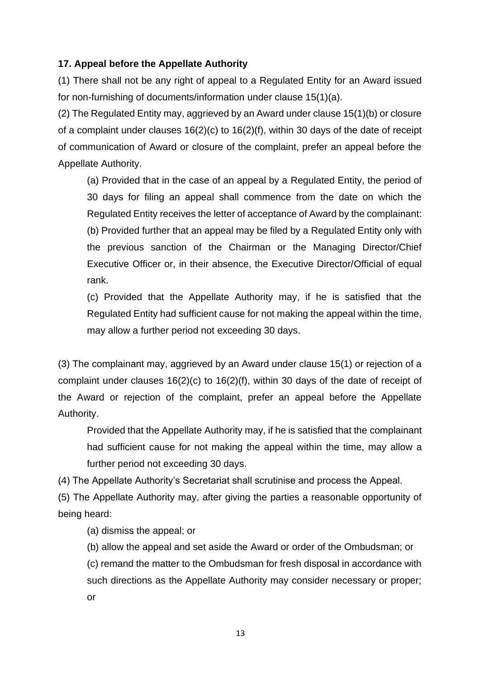# **17. Appeal before the Appellate Authority**

(1) There shall not be any right of appeal to a Regulated Entity for an Award issued for non-furnishing of documents/information under clause 15(1)(a).

(2) The Regulated Entity may, aggrieved by an Award under clause 15(1)(b) or closure of a complaint under clauses 16(2)(c) to 16(2)(f), within 30 days of the date of receipt of communication of Award or closure of the complaint, prefer an appeal before the Appellate Authority.

(a) Provided that in the case of an appeal by a Regulated Entity, the period of 30 days for filing an appeal shall commence from the date on which the Regulated Entity receives the letter of acceptance of Award by the complainant: (b) Provided further that an appeal may be filed by a Regulated Entity only with the previous sanction of the Chairman or the Managing Director/Chief Executive Officer or, in their absence, the Executive Director/Official of equal rank.

(c) Provided that the Appellate Authority may, if he is satisfied that the Regulated Entity had sufficient cause for not making the appeal within the time, may allow a further period not exceeding 30 days.

(3) The complainant may, aggrieved by an Award under clause 15(1) or rejection of a complaint under clauses 16(2)(c) to 16(2)(f), within 30 days of the date of receipt of the Award or rejection of the complaint, prefer an appeal before the Appellate Authority.

Provided that the Appellate Authority may, if he is satisfied that the complainant had sufficient cause for not making the appeal within the time, may allow a further period not exceeding 30 days.

(4) The Appellate Authority's Secretariat shall scrutinise and process the Appeal.

(5) The Appellate Authority may, after giving the parties a reasonable opportunity of being heard:

(a) dismiss the appeal; or

(b) allow the appeal and set aside the Award or order of the Ombudsman; or

(c) remand the matter to the Ombudsman for fresh disposal in accordance with such directions as the Appellate Authority may consider necessary or proper; or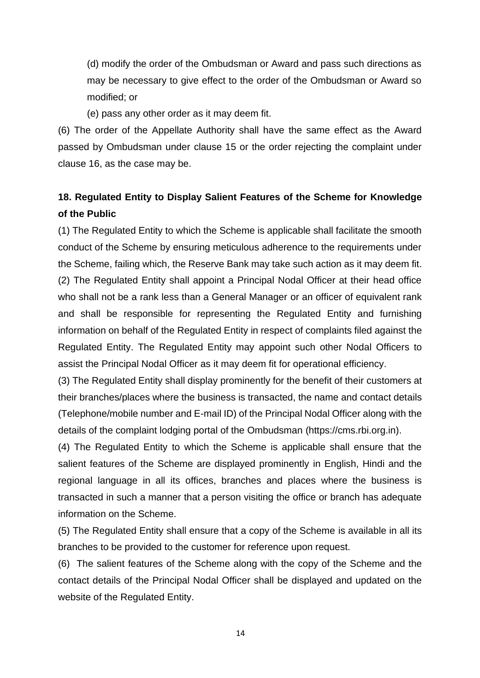(d) modify the order of the Ombudsman or Award and pass such directions as may be necessary to give effect to the order of the Ombudsman or Award so modified; or

(e) pass any other order as it may deem fit.

(6) The order of the Appellate Authority shall have the same effect as the Award passed by Ombudsman under clause 15 or the order rejecting the complaint under clause 16, as the case may be.

# **18. Regulated Entity to Display Salient Features of the Scheme for Knowledge of the Public**

(1) The Regulated Entity to which the Scheme is applicable shall facilitate the smooth conduct of the Scheme by ensuring meticulous adherence to the requirements under the Scheme, failing which, the Reserve Bank may take such action as it may deem fit. (2) The Regulated Entity shall appoint a Principal Nodal Officer at their head office who shall not be a rank less than a General Manager or an officer of equivalent rank and shall be responsible for representing the Regulated Entity and furnishing information on behalf of the Regulated Entity in respect of complaints filed against the Regulated Entity. The Regulated Entity may appoint such other Nodal Officers to assist the Principal Nodal Officer as it may deem fit for operational efficiency.

(3) The Regulated Entity shall display prominently for the benefit of their customers at their branches/places where the business is transacted, the name and contact details (Telephone/mobile number and E-mail ID) of the Principal Nodal Officer along with the details of the complaint lodging portal of the Ombudsman (https://cms.rbi.org.in).

(4) The Regulated Entity to which the Scheme is applicable shall ensure that the salient features of the Scheme are displayed prominently in English, Hindi and the regional language in all its offices, branches and places where the business is transacted in such a manner that a person visiting the office or branch has adequate information on the Scheme.

(5) The Regulated Entity shall ensure that a copy of the Scheme is available in all its branches to be provided to the customer for reference upon request.

(6) The salient features of the Scheme along with the copy of the Scheme and the contact details of the Principal Nodal Officer shall be displayed and updated on the website of the Regulated Entity.

14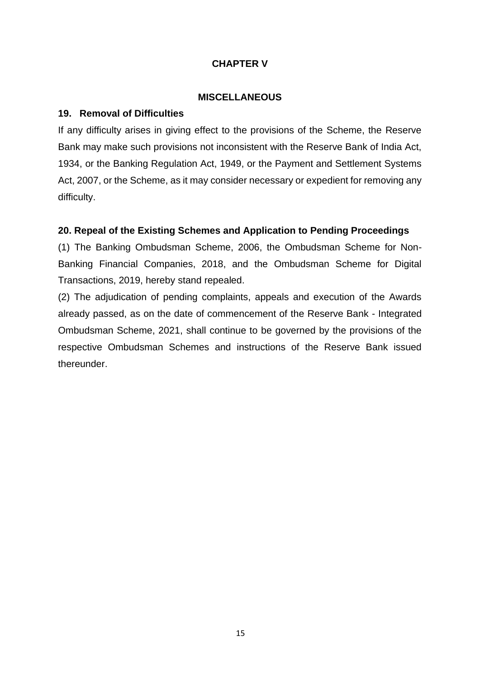# **CHAPTER V**

#### **MISCELLANEOUS**

### **19. Removal of Difficulties**

If any difficulty arises in giving effect to the provisions of the Scheme, the Reserve Bank may make such provisions not inconsistent with the Reserve Bank of India Act, 1934, or the Banking Regulation Act, 1949, or the Payment and Settlement Systems Act, 2007, or the Scheme, as it may consider necessary or expedient for removing any difficulty.

# **20. Repeal of the Existing Schemes and Application to Pending Proceedings**

(1) The Banking Ombudsman Scheme, 2006, the Ombudsman Scheme for Non-Banking Financial Companies, 2018, and the Ombudsman Scheme for Digital Transactions, 2019, hereby stand repealed.

(2) The adjudication of pending complaints, appeals and execution of the Awards already passed, as on the date of commencement of the Reserve Bank - Integrated Ombudsman Scheme, 2021, shall continue to be governed by the provisions of the respective Ombudsman Schemes and instructions of the Reserve Bank issued thereunder.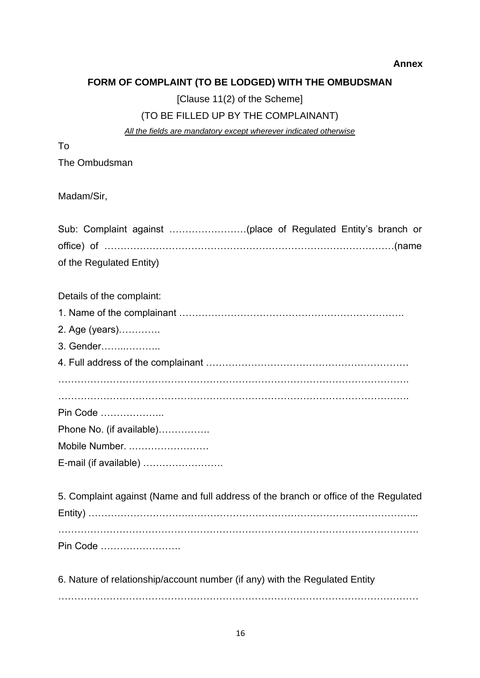#### **Annex**

# **FORM OF COMPLAINT (TO BE LODGED) WITH THE OMBUDSMAN**

[Clause 11(2) of the Scheme]

# (TO BE FILLED UP BY THE COMPLAINANT)

*All the fields are mandatory except wherever indicated otherwise*

To

The Ombudsman

Madam/Sir,

| of the Regulated Entity)                                                             |
|--------------------------------------------------------------------------------------|
| Details of the complaint:                                                            |
|                                                                                      |
| 2. Age (years)                                                                       |
| 3. Gender                                                                            |
|                                                                                      |
|                                                                                      |
| Pin Code                                                                             |
| Phone No. (if available)                                                             |
| Mobile Number.                                                                       |
| E-mail (if available)                                                                |
| 5. Complaint against (Name and full address of the branch or office of the Regulated |
|                                                                                      |
| Pin Code                                                                             |

6. Nature of relationship/account number (if any) with the Regulated Entity

……………………………………………………………….…………………………………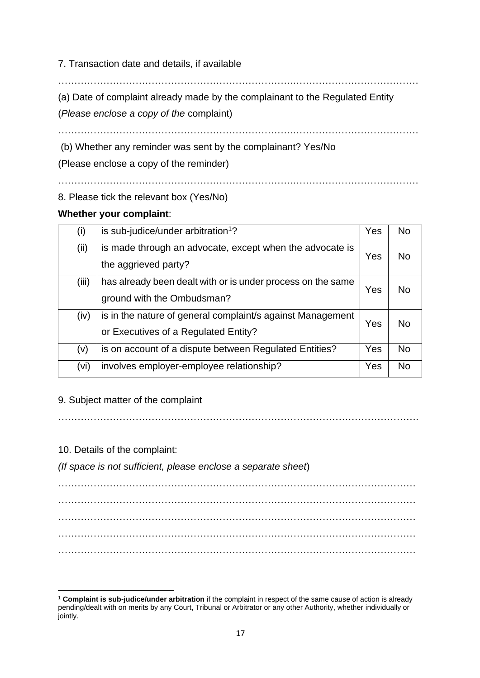7. Transaction date and details, if available

……………………………………………………………….…………………………………

(a) Date of complaint already made by the complainant to the Regulated Entity

(*Please enclose a copy of the* complaint)

……………………………………………………………….…………………………………

……………………………………………………………….…………………………………

(b) Whether any reminder was sent by the complainant? Yes/No

(Please enclose a copy of the reminder)

8. Please tick the relevant box (Yes/No)

### **Whether your complaint**:

| (i)   | is sub-judice/under arbitration <sup>1</sup> ?                                                     | Yes | <b>No</b>      |
|-------|----------------------------------------------------------------------------------------------------|-----|----------------|
| (ii)  | is made through an advocate, except when the advocate is<br>the aggrieved party?                   | Yes | No             |
| (iii) | has already been dealt with or is under process on the same<br>ground with the Ombudsman?          | Yes | No.            |
| (iv)  | is in the nature of general complaint/s against Management<br>or Executives of a Regulated Entity? | Yes | Nο             |
| (v)   | is on account of a dispute between Regulated Entities?                                             | Yes | <b>No</b>      |
| (vi)  | involves employer-employee relationship?                                                           | Yes | N <sub>0</sub> |

9. Subject matter of the complaint

………………………………………………………………………………………………….

10. Details of the complaint:

*(If space is not sufficient, please enclose a separate sheet*)

………………………………………………………………………………………………… ………………………………………………………………………………………………… ………………………………………………………………………………………………… ………………………………………………………………………………………………… …………………………………………………………………………………………………

<sup>1</sup> **Complaint is sub-judice/under arbitration** if the complaint in respect of the same cause of action is already pending/dealt with on merits by any Court, Tribunal or Arbitrator or any other Authority, whether individually or jointly.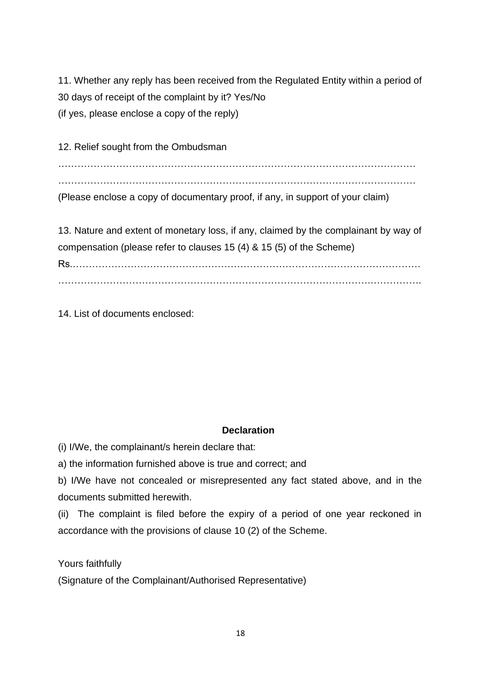11. Whether any reply has been received from the Regulated Entity within a period of 30 days of receipt of the complaint by it? Yes/No (if yes, please enclose a copy of the reply)

12. Relief sought from the Ombudsman

…………………………………………………………………………………………………

…………………………………………………………………………………………………

(Please enclose a copy of documentary proof, if any, in support of your claim)

13. Nature and extent of monetary loss, if any, claimed by the complainant by way of compensation (please refer to clauses 15 (4) & 15 (5) of the Scheme) Rs.………………………………………………………………………………………………

14. List of documents enclosed:

# **Declaration**

(i) I/We, the complainant/s herein declare that:

a) the information furnished above is true and correct; and

b) I/We have not concealed or misrepresented any fact stated above, and in the documents submitted herewith.

(ii) The complaint is filed before the expiry of a period of one year reckoned in accordance with the provisions of clause 10 (2) of the Scheme.

Yours faithfully

(Signature of the Complainant/Authorised Representative)